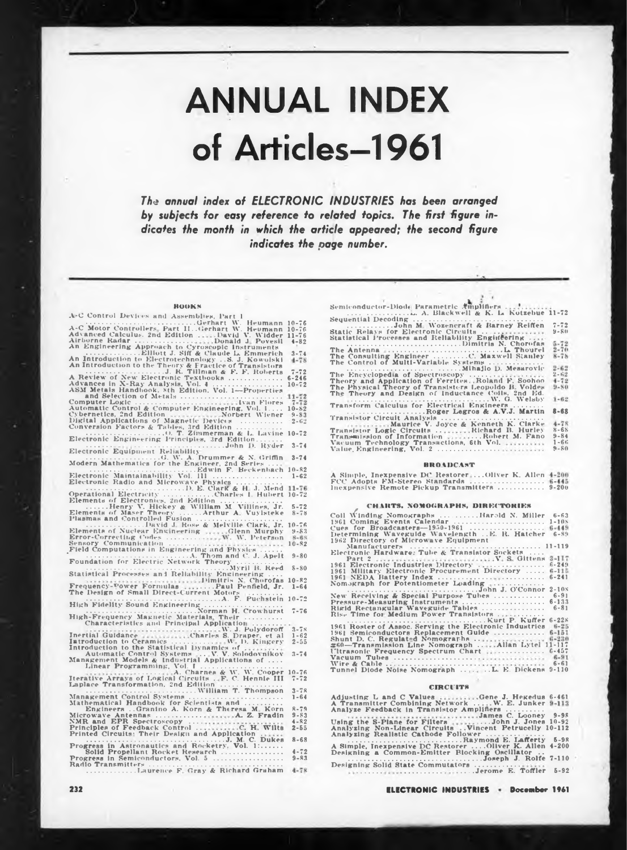# ANNUAL INDEX of Articles—1961

*The annual index of ELECTRONIC INDUSTRIES has been arranged by subjects for easy reference to related topics. The first figure indicates the month in which the article appeared; the second figure indicates the page number.*

| <b>HOOKS</b>                                                                                                                                                                                                                                    |                      | Semicon                      |
|-------------------------------------------------------------------------------------------------------------------------------------------------------------------------------------------------------------------------------------------------|----------------------|------------------------------|
|                                                                                                                                                                                                                                                 |                      | 1.111<br>Sequent             |
|                                                                                                                                                                                                                                                 |                      |                              |
| A-C Control Devices and Assemblies, Part 1<br>$A-C$ Motor Controllers, Part 11. Gerhart W. Heumann 10-76<br>A-C Motor Controllers, Part 11. Gerhart W. Heumann 10-76<br>Advanced Calculus. 2nd Edition                                          |                      | Static F<br>Statistic        |
| Elliott J. Siff & Claude L. Emmerich                                                                                                                                                                                                            | $3 - 74$             | The Ant                      |
| An Introduction to Electrotechnology . S. J. Kowolski<br>An Introduction to the Theory & Fractice of Transistors<br>An Introduction to the Theory & Fractice of Transistors<br>$\frac{1}{2}$ . R. Tillinan & F. F. Roberts $\frac{7.72}{1.624}$ |                      | The Cor<br>The Cor           |
|                                                                                                                                                                                                                                                 |                      | The End                      |
|                                                                                                                                                                                                                                                 |                      | Theory<br>The Phy<br>The The |
|                                                                                                                                                                                                                                                 | $7 - 72$             | $1 - 1$                      |
|                                                                                                                                                                                                                                                 |                      | Transfo                      |
| Submatte Control & Computer Engineering, Vol. 11 10-82<br>Digital Application and Control & Computer Wiener 9-83<br>Digital Applications of Magnetic Devices<br>Conversion Factors & Tables, 3rd Edition                                        |                      | Transist                     |
|                                                                                                                                                                                                                                                 |                      | <b>Transist</b><br>Transen   |
|                                                                                                                                                                                                                                                 |                      | Vacuum                       |
| Electronic Equipment Reliability                                                                                                                                                                                                                |                      | Value, F                     |
|                                                                                                                                                                                                                                                 |                      |                              |
|                                                                                                                                                                                                                                                 |                      | A Simpl                      |
|                                                                                                                                                                                                                                                 |                      | FCC Ad<br>lnexpen            |
|                                                                                                                                                                                                                                                 |                      |                              |
| Elements of Electronics, 2nd Edition<br>Elements of Marry V. Hickey & William M. Villines, Jr. 5-72<br>Elements of Maser Theory Arthur A. Vuylsteke - 8-78                                                                                      |                      |                              |
|                                                                                                                                                                                                                                                 |                      | Coll W1<br>1961 Co           |
|                                                                                                                                                                                                                                                 |                      | Cues fo                      |
|                                                                                                                                                                                                                                                 |                      | Determi<br>1962 Di           |
|                                                                                                                                                                                                                                                 |                      | Max                          |
|                                                                                                                                                                                                                                                 |                      | Electro<br>Par               |
| Statistical Processes and Reliability Engineering                                                                                                                                                                                               |                      | 1961 Ele<br>1961 Mi          |
|                                                                                                                                                                                                                                                 |                      | 1961 NE<br>Nomagr            |
|                                                                                                                                                                                                                                                 |                      | New Re                       |
|                                                                                                                                                                                                                                                 |                      | Pressur<br>Rigid R           |
|                                                                                                                                                                                                                                                 |                      | Rise Tit                     |
| Characteristics and Principal Application                                                                                                                                                                                                       | $3 - 7x$             | 1961 Ro                      |
|                                                                                                                                                                                                                                                 | $1 - 62$<br>$2 - 55$ | 1961 Sei<br>Shunt L          |
|                                                                                                                                                                                                                                                 |                      | $260 - Tt$<br>fitrasor       |
| Automatic Control Systems  V. V. Solodovnikov<br>Management Models & Industrial Applications of                                                                                                                                                 | $3 - 74$             | Vacuum<br>Wire &             |
| Linear Programming, Vol. 1. Charnes & W. W. Cooper 10-76                                                                                                                                                                                        |                      | Tunnel                       |
|                                                                                                                                                                                                                                                 | $3 - 78$             |                              |
|                                                                                                                                                                                                                                                 | $1 - 64$             | Adjusti                      |
|                                                                                                                                                                                                                                                 | $R - 79$             | A Trans                      |
|                                                                                                                                                                                                                                                 | $9 - 83$             | Analyze                      |
|                                                                                                                                                                                                                                                 | $4 - 82$             | Using t                      |
|                                                                                                                                                                                                                                                 | $2 - 55$             | Analyzi<br>Analyzi           |
|                                                                                                                                                                                                                                                 | $8 - 68$             | A Simpl                      |
|                                                                                                                                                                                                                                                 | $4 - 72$             | Deskni                       |
| Progress in Semiconductors, Vol. 5                                                                                                                                                                                                              | $9 - 83$             | Designi                      |
|                                                                                                                                                                                                                                                 |                      | 1.1.1                        |
|                                                                                                                                                                                                                                                 |                      |                              |

| Semiconductor-Diode Parametric Amplifiers             |          |
|-------------------------------------------------------|----------|
| A. Blackwell & K. L. Kotzebue 11-72                   |          |
|                                                       |          |
| John M. Wozencraft & Barney Reiffen                   | $7 - 72$ |
| Static Relays for Electronic Circuits                 | $9 - 80$ |
| Statistical Processes and Reliability Engineering     |          |
| Dimitris N. Chorofas                                  | $5 - 72$ |
|                                                       | $2 - 70$ |
|                                                       |          |
| The Consulting Engineer C. Maxwell Stanley            | $8 - 78$ |
| The Control of Multi-Variable Systems                 |          |
|                                                       | $2 - 62$ |
| The Encyclopedia of Spectroscopy                      | $2 - 62$ |
| Theory and Application of Ferrites. Roland F. Soohoo  | $4 - 72$ |
| The Physical Theory of Transisters Leopoldo B. Voldes | $9 - 80$ |
| The Theory and Design of Inductance Coils, 2nd Ed.    |          |
| The commitment of the committee of the W. G. Welsby   | $1 - 62$ |
| Transform Calculus for Electrical Engineers           |          |
| Roger Legros & A.V.J. Martin                          | $8 - 68$ |
| Transistor Circuit Analysis                           |          |
|                                                       | $4 - 78$ |
| Maurice V. Joyce & Kenneth K. Clarke                  |          |
| Transistor Logic Circuits Richard B. Hurley           | $8 - 68$ |
| Transmission of Information  Robert M. Fano           | $9 - 84$ |
| Vacuum Technology Transactions, 6th Vol.              | $1 - 66$ |
| Value Engineering, Vol. 2                             | $9 - 80$ |
|                                                       |          |

#### **HHOlDCAsT**

A Simple, Inexpensive DC Restorer ...Oliver K. Allen FCC Adopts FM-Stereo Standards .......................................... Inexpensive Remote Pickup Transmitters.......................... 9-20O

# **, CH HITS. NOMOGRAPHS, DIRECTORIES** Coll binding Nomographs ...................... Harold N. Miller

| Coll Winding Nomographs Harold N. Miller                | $6 - 63$  |
|---------------------------------------------------------|-----------|
| 1961 Coming Events Calendar                             | $1 - 10s$ |
| Cues for Broadcasters-1950-1961                         | $6 - 449$ |
| Determining Waveguide Wavelength E. R. Hatcher          | $6 - 89$  |
| 1962 Directory of Microwave Equipment                   |           |
|                                                         |           |
| Electronic Hardware: Tube & Translstor Sockets          |           |
|                                                         | $3 - 117$ |
| 1961 Electronic Industries Directory                    | $6 - 249$ |
| 1961 Military Electronic Procurement Directory          | $6 - 115$ |
| 1961 NEDA Battery Index                                 | $6 - 241$ |
| Nomograph for Potentiometer Loading                     |           |
|                                                         | $2 - 10s$ |
| New Receiving & Special Purpose Tubes                   | $6 - 91$  |
| Pressure-Measuring Instruments                          | $6 - 133$ |
| Rigid Rectangular Waveguide Tables                      | $6 - 81$  |
| Rise Time for Medium Power Transistors                  |           |
|                                                         | $6 - 22k$ |
| 1961 Roster of Assoc. Serving the Electronic Industries | $6 - 25$  |
| 1961 Semiconductors Replacement Guide                   | $6 - 151$ |
| Shunt D. C. Regulated Nomographs                        | $6 - 220$ |
| #60-Transmission Line Nomograph Allan Lytel 11-117      |           |
| Ultrasonic Frequency Spectrum Chart                     | $6 - 457$ |
|                                                         | $6 - 91$  |
|                                                         | $6 - 61$  |
| Tunnel Diode Noise Nomograph L. E. Dickens              | $9 - 110$ |

#### **CIRCUITS**

Adjusting L and C Values Gene J. Hegedus A Transmitter Combining Network . . . W. E. Junker Analyze Feedback in Transistor Amplifiers ..................... **Using the S-Plane for Filters** James C. Looney ....John J. Jones 6-461 9-98 10-92 Analyzing Non-Dinear Circuits Vincent Petrucelly 10-112 Analyzing Realistic Cathode Follower................................. ........................................................ Raymond **E.** Lafferty A Simple, Inexpensive DC Restorer .. . .Oliver K. Allen Designing a Common-Emitter Blocking Oscillator .. ..............................................................................Joseph J. Rolfe Designing Solid State Commutators .......................... .............. ........................ .... .Jerome K. Toffler 5-92 5-98 4-200 7-110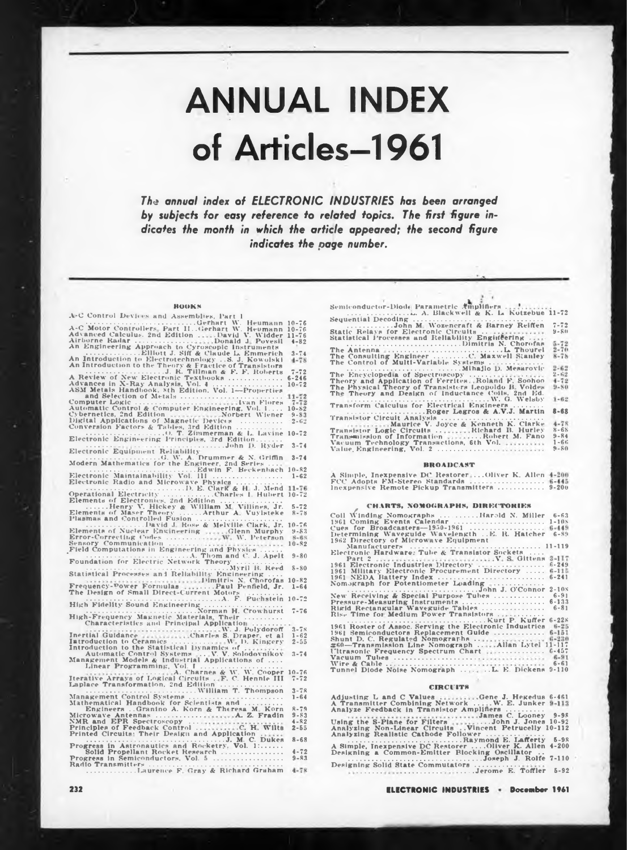# ANNUAL INDEX of Articles—1961

*The annual index of ELECTRONIC INDUSTRIES has been arranged by subjects for easy reference io related topics. The first figure indicates the month in which the article appeared; the second figure indicates the page number.*

| <b>HOOKS</b>                                                                                                                                                                                                                                 |                      | Semicon                  |
|----------------------------------------------------------------------------------------------------------------------------------------------------------------------------------------------------------------------------------------------|----------------------|--------------------------|
| A-C Control Devices and Assemblies, Part 1                                                                                                                                                                                                   |                      | $-1 - 1$<br>Sequent      |
| A-C Control Devices and Assemblies, Part 1<br>A-C Motor Controllers, each and the theat W. Heumann 10-76<br>A-C Motor Controllers, Part 11, dierhart W. Heumann 10-76<br>Advanced Calculus. 2nd Edition                                      |                      |                          |
|                                                                                                                                                                                                                                              |                      | Static F                 |
|                                                                                                                                                                                                                                              |                      | Statistic                |
|                                                                                                                                                                                                                                              |                      | The Ant                  |
|                                                                                                                                                                                                                                              |                      | The Cor                  |
|                                                                                                                                                                                                                                              |                      | The Cor                  |
|                                                                                                                                                                                                                                              |                      |                          |
|                                                                                                                                                                                                                                              |                      | The End<br>Theory        |
|                                                                                                                                                                                                                                              |                      | The Phy                  |
|                                                                                                                                                                                                                                              |                      | The The                  |
|                                                                                                                                                                                                                                              |                      | Transfo                  |
|                                                                                                                                                                                                                                              |                      |                          |
|                                                                                                                                                                                                                                              |                      | Transis                  |
|                                                                                                                                                                                                                                              |                      |                          |
|                                                                                                                                                                                                                                              |                      | <b>Transist</b>          |
|                                                                                                                                                                                                                                              |                      | Transan<br>Vacuum        |
| John D. Ryder 3-74<br>.<br>.                                                                                                                                                                                                                 |                      | Value, E                 |
| Electronic Equipment Reliability                                                                                                                                                                                                             |                      |                          |
|                                                                                                                                                                                                                                              |                      |                          |
|                                                                                                                                                                                                                                              |                      |                          |
|                                                                                                                                                                                                                                              |                      | A Simpl                  |
|                                                                                                                                                                                                                                              |                      | FCC Ad<br>lnexpen        |
| D. E. Clark & H. J. Mend 11-76<br>Operational Electronics Charles 1. Hubert 10-72<br>Elements of Electronics 2nd Edition<br>Henry V. Hickey & William M. Villines, Jr. 5-72<br>Elements of Maser Theory                                      |                      |                          |
|                                                                                                                                                                                                                                              |                      |                          |
|                                                                                                                                                                                                                                              |                      |                          |
|                                                                                                                                                                                                                                              |                      | Coll W1                  |
|                                                                                                                                                                                                                                              |                      | 1961 Co                  |
|                                                                                                                                                                                                                                              |                      | Cues fo                  |
|                                                                                                                                                                                                                                              |                      | Determi<br>1962 Di       |
|                                                                                                                                                                                                                                              |                      | Маг                      |
|                                                                                                                                                                                                                                              |                      | Electro                  |
|                                                                                                                                                                                                                                              |                      | Par                      |
| Myril B. Reed 8-80                                                                                                                                                                                                                           |                      | 1961 El<br>1961 Mi       |
| Statistical Processes and Reliability Engineering                                                                                                                                                                                            |                      | 1961 NE                  |
|                                                                                                                                                                                                                                              |                      | Nomagr                   |
|                                                                                                                                                                                                                                              |                      | New Re                   |
| Statistical Processes and Reliability Engineering<br>Frequency-Power Formulas<br>Frequency-Power Formulas<br>The Design of Small Direct-Current Mottors<br>$\frac{1}{2}$ . Paul Penfield, Jr. 1-64<br>The Design of Small Direct-Current Mot |                      | Pressur                  |
|                                                                                                                                                                                                                                              |                      | Rigid R                  |
|                                                                                                                                                                                                                                              |                      | Rise Th                  |
| Characteristics and Principal Application                                                                                                                                                                                                    |                      |                          |
|                                                                                                                                                                                                                                              | $3 - 7x$             | 1961 Ro<br>1961 Set      |
|                                                                                                                                                                                                                                              | $1 - 62$<br>$2 - 55$ | Shunt L                  |
|                                                                                                                                                                                                                                              |                      | $260 - T1$               |
| Automatic Control Systems  V. V. Solodovnikov<br>Management Models & Industrial Applications of                                                                                                                                              | $3 - 74$             | <b>Itrasol</b><br>Vacuum |
|                                                                                                                                                                                                                                              |                      | Wire &                   |
|                                                                                                                                                                                                                                              |                      | Tunnel                   |
|                                                                                                                                                                                                                                              |                      |                          |
|                                                                                                                                                                                                                                              |                      |                          |
|                                                                                                                                                                                                                                              | $3 - 78$             |                          |
|                                                                                                                                                                                                                                              | $1 - 64$             | Adjusti                  |
|                                                                                                                                                                                                                                              | $R - 79$             | A Trans<br>Analyze       |
|                                                                                                                                                                                                                                              | $9 - 83$             |                          |
|                                                                                                                                                                                                                                              | $4 - 82$             | Using t<br>Analyzi       |
|                                                                                                                                                                                                                                              | $2 - 55$             |                          |
|                                                                                                                                                                                                                                              | $8 - 68$             | Analyzi                  |
|                                                                                                                                                                                                                                              |                      | A Simpl                  |
|                                                                                                                                                                                                                                              | $4 - 72$             | Designi                  |
|                                                                                                                                                                                                                                              | $9 - 83$             | Designi                  |
|                                                                                                                                                                                                                                              | $4 - 78$             | $9.9 -$                  |
|                                                                                                                                                                                                                                              |                      |                          |
|                                                                                                                                                                                                                                              |                      |                          |

| Semiconductor-Diode Parametric Amplifiers                                                                |          |
|----------------------------------------------------------------------------------------------------------|----------|
| $\ldots$ $\ldots$ $\ldots$ $\ldots$ $\ldots$ $\ldots$ $\ldots$ $\ldots$ Blackwell & K. L. Kotzebue 11-72 |          |
|                                                                                                          |          |
| John M. Wozencraft & Barney Reiffen                                                                      | $7 - 72$ |
| Static Relays for Electronic Circuits                                                                    | $9 - 80$ |
| Statistical Processes and Reliability Engineering                                                        |          |
| Dimitris N. Chorofas                                                                                     | $5 - 72$ |
|                                                                                                          |          |
|                                                                                                          | $2 - 70$ |
| The Consulting Engineer C. Maxwell Stanley                                                               | $8 - 78$ |
| The Control of Multi-Variable Systems                                                                    |          |
|                                                                                                          | $2 - 62$ |
| The Encyclopedia of Spectroscopy                                                                         | $2 - 62$ |
| Theory and Application of Ferrites. Roland F. Soohoo                                                     | $4 - 72$ |
| The Physical Theory of Transisters Leopoldo B. Voldes                                                    | $9 - 80$ |
| The Theory and Design of Inductance Coils, 2nd Ed.                                                       |          |
| W. G. Welsby                                                                                             | $1 - 62$ |
| Transform Calculus for Electrical Engineers                                                              |          |
|                                                                                                          | $8 - 68$ |
| Roger Legros & A.V.J. Martin                                                                             |          |
| Transistor Circuit Analysis                                                                              |          |
| Maurice V. Joyce & Kenneth K. Clarke                                                                     | $4 - 78$ |
| Transistor Logic Circuits Richard B. Hurley                                                              | $8 - 68$ |
| Transmission of Information Robert M. Fano                                                               | $9 - 84$ |
| Vacuum Technology Transactions, 6th Vol.                                                                 | $1 - 66$ |
| Value Engineering, Vol. 2                                                                                | $9 - 80$ |
|                                                                                                          |          |

#### **BROADCAST**

A Simple, Inexpensive DC Restorer ...Oliver K. Allen FCC Adopts FM-Stereo Standards .......................................... Inexpensive Remote Pickup Transmitters.......................... 9-20O

# **, CHARTS. 4OMOGRAPH8, DIRECTORIES** Coil binding Nomographs ...................... Harold N. Miller

| Coll Winding Nomographs Harold N. Miller                | $6 - 63$  |
|---------------------------------------------------------|-----------|
| 1961 Coming Events Calendar                             | $1 - 10s$ |
| Cues for Broadcasters-1950-1961                         | $6 - 449$ |
| Determining Waveguide Wavelength E. R. Hatcher          | $6 - 89$  |
| 1962 Directory of Microwave Equipment                   |           |
|                                                         |           |
| Electronic Hardware: Tube & Translstor Sockets          |           |
|                                                         | $3 - 117$ |
| 1961 Electronic Industries Directory                    | $6 - 249$ |
| 1961 Military Electronic Procurement Directory          | $6 - 115$ |
| 1961 NEDA Battery Index                                 | $6 - 241$ |
| Nomograph for Potentiometer Loading                     |           |
|                                                         | $2 - 10s$ |
| New Receiving & Special Purpose Tubes                   | $6 - 91$  |
| Pressure-Measuring Instruments                          | $6 - 133$ |
| Rigid Rectangular Waveguide Tables                      | $6 - 81$  |
| Rise Time for Medium Power Transistors                  |           |
|                                                         | $6 - 22k$ |
| 1961 Roster of Assoc. Serving the Electronic Industries | $6 - 25$  |
| 1961 Semiconductors Replacement Guide                   | $6 - 151$ |
| Shunt D. C. Regulated Nomographs                        | $6 - 220$ |
| #60-Transmission Line Nomograph Allan Lytel 11-117      |           |
| Ultrasonic Frequency Spectrum Chart                     | $6 - 457$ |
|                                                         | $6 - 91$  |
|                                                         | $6 - 61$  |
| Tunnel Diode Noise Nomograph  L. E. Dickens             | $9 - 110$ |

#### **CIRCUITS**

Adjusting L and C Values Gene J. Hegedus A Transmitter Combining Network . . . W. E. Junker Analyze Feedback in Transistor Amplifiers ..................... Using the S-Plane for Filters James C. Looney ....John J. Jones 6-461 9-98 10-92 Analyzing Non-Linear Circuits Vincent Petrucelly 10-112 Analyzing Realistic Cathode Follower................................. ........................................................ Raymond E. Lafferty A Simple, Inexpensive DC Restorer .. . .Oliver K. Allen Designing a Common-Emitter Blocking Oscillator .. ..............................................................................Joseph J. Rolfe Designing Solid State Commutators .......................... .............. ........................ .... .Jerome E. Toffler 5-92 5-98 4-200 7-110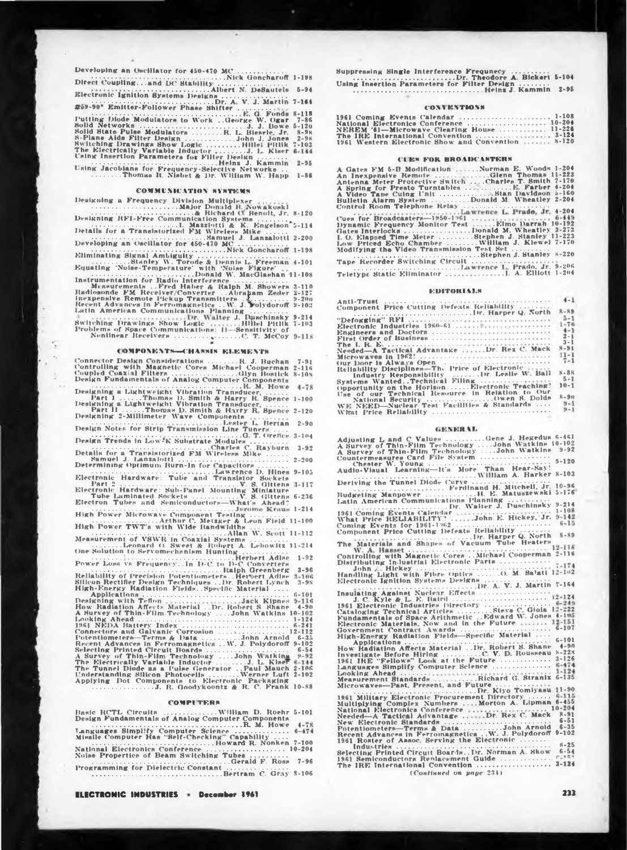#### **COMMUNICATION SYSTEMS**

## **COMPONENTS-CHASSIS ELEMENTS**

| Connector Design Considerations R. J. Buchan<br>7-91<br>Controlling with Magnetic Cores Michael Cooperman<br>$2 - 116$<br>Coupled Coaxial Filters Glyn Bostlck<br>$8 - 10N$<br>Design Fundamentals of Analog Computer Components |
|----------------------------------------------------------------------------------------------------------------------------------------------------------------------------------------------------------------------------------|
| $4 - 78$<br>Designing a Lightweight Vibration Transducer<br>Part 1 Thomas D. Smith & Harry R. Spence<br>$1 - 100$<br>Designing a Lightweight Vibration Transducer,                                                               |
| Part II Thomas D. Smith & Harry R. Spence 2-120<br>Designing 2-Millimeter Wave Components<br>$2 - 90$                                                                                                                            |
| Design Notes for Strip Transmission Line Tuners                                                                                                                                                                                  |
|                                                                                                                                                                                                                                  |
| Details for a Transistorized FM Wireless Mike<br>Samuel J. Lanzalotti<br>$2 - 200$<br>Determining Optimum Burn-In for Capacitors                                                                                                 |
| Electronic Hardware: Tube and Translator Bockets<br>Place Ford Party and Translator Bockets<br>Part 2 117                                                                                                                        |
| Electronic Hardware: Sub-Panel Mounting Minlature                                                                                                                                                                                |
| Electron Tubes and Semiconductors-What's Ahead?                                                                                                                                                                                  |
| High Power Microwave Component Testing<br>High Power TWT's with Wide Bandwidths                                                                                                                                                  |
| Measurement of VSWR in Coaxial Systems                                                                                                                                                                                           |
| Leonard O. Sweet & Robert A. Lebowitz 11-214<br>One Solution to Servomechanism Hunting<br>$1 - 92$                                                                                                                               |
| Power Lons vs Frequency. In D-C to D-C Converters<br>Ralph Greenberg<br>$3 - 96$                                                                                                                                                 |
| Reliability of Precision Potentiometers. . Herbert Adlse 3-106<br>Silicon Rectifier Design Techniques  Dr. Robert Lynch<br>$3 - 98$<br>High-Energy Radiation Fields. Specific Material                                           |
| $G - 101$<br>Designing with Teflon Jack Kipnes<br>$3 - 116$<br>How Radiation Affects Material  Dr. Robert S Shane<br>$4 - 90$<br>A Survey of Thin-Film Technology John Watkins 10-102                                            |
| $1 - 124$<br>1961 NEDA Battery Index<br>$6 - 241$                                                                                                                                                                                |
| Connectors and Galvanic Corrosion<br>12-112<br>Potentiometers-Terms & Data John Arnold<br>$6 - 3.5$<br>Recent Advances in Ferromagnetics  W. J. Polydoroff<br>$9 - 102$                                                          |
| Selecting Printed Circuit Boards<br>$6 - 54$<br>A Survey of Thin-Film Technology John Watking 9-92<br>The Electrically Variable Inductor J. L. Kiner 6-114                                                                       |
| The Tunnel Diode as a Pulse Generator  Paul Mauch 2-106<br>Understanding Silicon Photocells  Werner Luft 2-102<br>Applying Dot Components to Electronic Packaging                                                                |
| $\ldots$ J. R. Goodykoontz & R. C. Frank 10-88                                                                                                                                                                                   |

## **COMPUTERS**

Basic RCTL Circuits<br>Design Fundamentals of Analog Computer Components<br>Languages Simplify Computer Science.......R. M. Howe 4-78<br>Missile Computer Has "Self-Checking" Capability<br>Missile Computer Has "Self-Checking" Capabilit 

#### **ELECTRONIC INDUSTRIES \* December 1961**

### **CONVENTIONS**

ļ

|  | 961 Coming Events Calendar                 |  |  |  | . 1-108    |
|--|--------------------------------------------|--|--|--|------------|
|  | (ational Electronics Conference            |  |  |  | $10 - 204$ |
|  | <b>IEREM '61—Microwave Clearing House </b> |  |  |  | $11 - 226$ |
|  | The IRE International Convention           |  |  |  | $3 - 124$  |
|  | 961 Western Electronic Show and Convention |  |  |  | $X - 120$  |

#### **CURS FOR BROADCASTERS**

| A Gates FM 5-B Modification  Norman E. Woods 1-204<br>An Inexpensive Remote Glenn Thomas 11-223 |
|-------------------------------------------------------------------------------------------------|
| Antenna Meter Protective Switch  Charles T. Smith 7-170                                         |
|                                                                                                 |
| A Video Tape Cuing Unit Stan Davidson 5-160                                                     |
| Bulletin Alarm System Donald M. Wheatley 2-204                                                  |
| Control Room Telephone Relay                                                                    |
| Lawrence L. Prade, Jr. 4-204                                                                    |
| Cues for Broadcasters-1950-1961  6-449                                                          |
|                                                                                                 |
| Dynamic Frequency Monitor Test Elmo Darrah 10-192                                               |
| Gates Interlocks Donald M. Wheatley 3-273                                                       |
| L.O. Elapsed Time Meter Stephen J. Stanley 11-223                                               |
| Low Priced Echo Chamber  William J. Klewel 7-170                                                |
| Modifying the Video Transmission Test Set                                                       |
| Stephen J. Stanley 8-220                                                                        |
| Tape Recorder Switching Circuit                                                                 |
|                                                                                                 |
| $1 - 204$<br>Teletype Static Eliminator 1. A. Elliott                                           |
|                                                                                                 |

#### **EDITORIALS**

| 外国支援の主 正知道を、 しししゅんし インジンジン アイト・ディー・アイ アイ・アイ・アイ アイ・アイ アイ・アイ・プ |           |
|--------------------------------------------------------------|-----------|
| Component Price Cutting Defeats Reliability                  |           |
| Francescontrated and Dr. Harper Q. North                     | $8 - 89$  |
|                                                              | $5 - 1$   |
|                                                              | $1 - 76$  |
| Electronic Industries 1960-61                                |           |
| Engineers and Doctors                                        | $4 - 1$   |
| First Order of Business                                      | $2 - 1$   |
|                                                              | $3 - 1$   |
|                                                              | $8 - 91$  |
| Needed—A Tactical Advantage Dr. Rex C. Mack                  | $11 - 1$  |
|                                                              |           |
| Dur Door is Always Open                                      | $7 - 1$   |
| Reliability Disciplines-The Price of Electronic              |           |
| Industry Responsibility  Dr. Leslie W. Ball                  | $8 - 88$  |
|                                                              | $5 - 1$   |
| Systems WantedTechnical Filing                               | $10 - 1$  |
| Opportunity on the Horizon Electronic Teaching!              |           |
| Use of our Technical Resource in Relation to Our             |           |
| National Security Owen S. Dolds                              | $R - 911$ |
| WE NEED-Nuclear Test Facilities & Standards                  | $9 - 1$   |
|                                                              | $9 - 1$   |
| What Price Reliability                                       |           |

#### **GENERAL**

| Adjusting L and C Values Gene J. Hegedus 6-461<br>A Survey of Thin-Film Technology John Watkins 10-102                                                 |
|--------------------------------------------------------------------------------------------------------------------------------------------------------|
| A Survey of Thin-Film Technology John Watkins 9-92<br>Countermeasures Card File System                                                                 |
| Chester W. Young<br>Audio-Visual Learning-it's More Than Hear-Say!<br>Deriving the Tunnel Diode Curve<br>Ferdinand H. Mitchell, Jr. 10-36              |
|                                                                                                                                                        |
| $5 - 176$<br>Budgeting Manpower H. E. Matuszewski<br>Latin American Communications Planning                                                            |
| Service Communication Concerns Dr. Walter J. Duschinsky 9-214<br>1961 Coming Eventa Calendar<br>What Price RELIABILITY? John E. Hickey, Jr. 9-142      |
|                                                                                                                                                        |
| Component Price Cutting Defeats Reliability<br>The Materials and Shapes of Vacuum Tube Heaters                                                         |
|                                                                                                                                                        |
| Distributing In-lustrial Electronic Parts                                                                                                              |
| Handling Light with Fibre Optics  O. M. Salati 12-102<br>Electronic Ignition Systems Designs                                                           |
| Dr. A. V. J. Martin 7-164                                                                                                                              |
|                                                                                                                                                        |
| 1961 Electronic Industries Directory<br>Cataloging Technical Articles Steve C. Giola 12-222<br>Fundamentals of Space Arithmetic  Edward W. Jones 4-105 |
| Electronic Materials, Now and in the Future  12-151<br>Government Contract Awards  6-107                                                               |
| High-Energy Radiation Fields-Specific Material<br>$6 - 101$                                                                                            |
| How Radiation Affects Material Dr. Robert S. Shane 4-90<br>Investigate Before Hiring C. V. D. Rousseau 8-228                                           |
| 1961 IRE "Fellows" Look at the Future  3-126<br>Languages Simplify Computer Science  6-474                                                             |
| Meanurement Standards  Richard G. Stranix 6-135                                                                                                        |
| Microwaves-Past, Present, and Future                                                                                                                   |
| 1961 Military Electronic Procurement Directory  6-115<br>Multiplying Complex Numbers  Morton A. Lipman 6-455                                           |
| National Electronics Conference  10-204<br>$8 - 91$<br>Needed-A Tactical Advantage Dr. Rex C. Mack<br>$6 - 51$<br>New Electronic Standards             |
|                                                                                                                                                        |
| $6 - 25$<br>Industries and contained and proportional company of                                                                                       |
| $6 - 54$<br>Selecting Printed Circuit BoardsDr. Norman A. Skow                                                                                         |
| $2 - 124$<br>The IRE International Convention<br>(Continued on page 234)                                                                               |
|                                                                                                                                                        |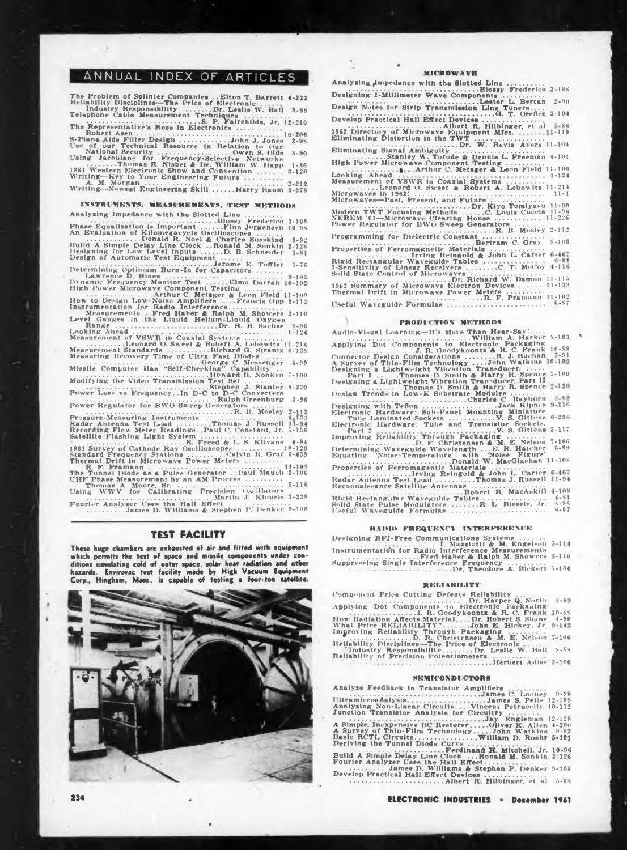## ANNUAL INDEX OF ARTICLES

| The Problem of Splinter Companies  Elton T. Barrett 4-222 |
|-----------------------------------------------------------|
| Reliability Disciplines-The Price of Electronic           |
| Industry Reaponaibility Dr. Leslie W. Ball 8-88           |
| Telephone Cable Measurement Techniques                    |
| S. P. Fairchilds, Jr. 12-210                              |
| The Representative's Rose in Electronics                  |
|                                                           |
| S-Plane Aids Filter Design John J. Jones<br>$2 - 9x$      |
| Use of our Technical Resource in Relation to Our          |
| National Security Owen S. Olds<br>$8 - 90$                |
| Using Jacobians for Frequency-Selective Networks          |
| Thomas R. Nisbet & Dr. William W. Happ<br>$1 - 86$        |
|                                                           |
| 1961 Western Electronic Show and Convention<br>$8 - 120$  |
| Writing-Key to Your Engineering Future                    |
|                                                           |
| Writing-Newest Engineering Skill Harry Baum 3-278         |
|                                                           |

INSTRUMENTS, MEASUREMENTS, TEST METHODS<br>
Analyzing Impedance with the Slotted Line......Finn Jorge Frederico 3-<br>
Phase Equalization is Important ........Finn Jorgensen 10<br>
An Evaluation of Kilomegacycle Oscilloscopes<br>
Buil 3-108 10 98  $5 - 92$ <br>2-126 1-7« Dynamic Frequency Monitor Test (1111-1910) Darrah 10-192<br>High Power Microwave Component Testing (111-190<br>How to Design Low-Noise Amplifiers (111-190) Darrah (1998-112<br>Instrumentation for Radio Interference (111-190)<br>Instru 8-112 3-110 Range Dr. H. B. Sachse 1-9« Ixioking Ahead ....................................................................................... 1-124 Measurement of VSWR in Coaxial Systems..................... Measurement Standardo. Sweet & Robert A. Lebowitz 11.<br>Measurement Standards. Richard G. Strandx<br>Measuring Recovery Time of Ultra Fast Diodes......<br>Missile Computer Has "Self-Checking" Capability ...<br>Modifying the Video Tra ................................ Ralph Greenburg Power Regulator for BWO Sweep Generators ............................................................................R. B. Mosley Prsssuie-Measuring Instruments ............................................ Radar Antenna Test Load............ Thomas J. Russell 6-f33 «-135 4-99 7-100 8-220 3-9« Recording Flow Meter Readings. Paul C. Constant Jr. Satellite Flashing Light System ............................................... ......................................................... R. Freed A- L. S. Kllvans 5-156 .................................................. 4-94 1961 Survey of Cathode Rav Oscilloscopes ....................... 10-120 Standard Frequency Stations......................Calvin It. Graf 6-439 Thermal Drift in Microwave Power Meters ..................... R. F. Pramann ........................ ..................... The Tunnel Diode as a Pulse Generator Paul Mauch UHF Phase Measurement by on AM Process..................... Thomas A. Moore, Sr................................................... .......... Using WWV for Calibrating Precision Oscillators ................................................................Martin J. Kiousis 2-10« 5-110 3-238 Fourier Analyzer Uses the Hall Effect ................................... ......................James D. Williams & Stephen P. Denker 9-108

## **TEST FACILITY**

**These huge chambers are exhausted of air and fitted with equipment which permits the test of space and missile components under con**ditions simulating cold of outer space, solar heat radiation and other<br>hazards, Envirovac test facility made by High Vacuum Equipment<br>Corp., Hingham, Mass., is capable of testing a four-ton satellite.



3-108 **MirROWAYE** Analyzing gmpedance with the Slotted Line . . ............................................................................Blossy Frederico Designing 2-MiUiiueter Wave Components ....................... .......... Lester L. Bertan Design Notes for Strip Transmission Line Tuners.... ..'.........................................................................G. T. Oreflee Develop Practical Hall Effect Devices............................... .............................................Albert **R.** Hilbinger, et il <sup>1962</sup> Directory of Microwave Equipment Mfrs. ... Eliminating Distortion in the TWT ........................................ 1-119 2-90 3-104 ................................................... Dr. W. Ruvis Avers 11-104 Eliminating Signal Ambiguity .................................................... ...........Stanley W. Torode *A* Dennis L Freeman 4-lot High Power Microwave Component Testing.............. . Looking Ahead **Arthur C. Metzger & Leon Field ll-ioo** Measurement of VSWR in Coaxial Systems<br>
Microwaves-Insect A. Bonnet & Robert A. Lebowltz 11-214<br>
Microwaves-Past, Present, and Future<br>
Microwaves-Past, Present, and Future<br>
Microwaves-Past, Present, and Future<br>
Note They a Properties of Ferromagnetic Materials ............................... ...........................Irving Reingold & John L Carter Rigid Rectangular Waveguide Tables I-Sensitivity of Linear Receivers ... Solid State Control of Microwaves . . . **. C. T. McCoy** ...........................................................Dr. Richard W. Damon 11-115 <sup>1962</sup> Summary of Microwave Electron Devices............11-139 Thermal Drift in Microwave Power Meters ..................... .............................................................................. R. F. Pramann 11-102 I'seful Waveguide Formulas 6-87

**PRODUCTION METHODS**<br>
Audio-Visual Learning—1t's More Than Hear-Say:<br>
Applying Dot Components to Electronic Packaging<br>
Connector Design Considerations ..........R. J. Buchan 7-91<br>
A Survey of Thin-Film Technology ......... 1-100 Design Trends in Low-K Substrate Modules ..........<br>
Designing with Teflon<br>
Electronic Hardware: Sub-Panel Modules C. Rayburn 1-92<br>
Electronic Hardware: Sub-Panel Mounting Miniature<br>
Electronic Hardware: Tube and Translato D. P. Christenen & M. E. Nelson 7-106<br>
Determining Wave-Temperature with Wolse Figure 1-88<br>
Determining Wave-Temperature with Wolse Figure<br>
Properties of Ferromagentic Materials<br>
Radar Antenna Test Load<br>
Radar Antenna Test Rigid Rectangular Waveguide Tables............................ Solid State Pulse Modulators .......... R. L Biesele. Jr. Useful Waveguide Formulas ...................................................... **S-9S 6-87**

#### **Htlllll FREQUENCY INTERFERENCE**

Designing RFI-Free Communications Systems<br>
Instrumentation for Radio Interference Measurements<br>
Instrumentation for Radio Interference Measurements<br>
Suppressing Single Interference Frequency ......<br>
Suppressing Single Inte

#### **RELIABILITY**

Component Price Cutting Defeats Reliability<br>
Applying Dot Components to Electronic Packaging<br>
How Radiation Affects Matterial, ...Dr. Robert S. Shane<br>
What Price RELIABILITY<br>
2. R. Goodykoonts & R. C. Frank<br>
What Price REL 10-88 4-90 7-106 **s-ss** 3-106

#### **8KWICOXDI CFOItk**

Analyze Feedback in Transistor Amplifiers Ultramicroaflalysls James C. Looney 9-98 . .James S Pelle 12-109 Analyzing Non-Linear Circuits.. .Vincent Petrucelly 10-112 Junction Transistor Analysis for Circuitry . .

A Simple, Inexpensive DC Restorer<br>A Survey of Thin-Film Technology<br>Basic RCTL Circuits.................<br>Deriving the Tunnel Diode Curve Jay Englenian 12-128 .Oliver K. Alb ' **. .John** Watkins **William D. Roehr** 4-200 9-92 **5-101** ............. ...................Ferdinand H Mitchell, Jr. Build A Simple Delay Line Clock. . . .Ronald M Sonkin Fourier Analyzer Uses the Hall Effect................................... •....................James D. Williams & Stephen P. Denker Develop Practical Hall Effect Devices................................. ......................................................Albert R Hilbinger, et al 10-96 2-126  $9 - 108$ 5-88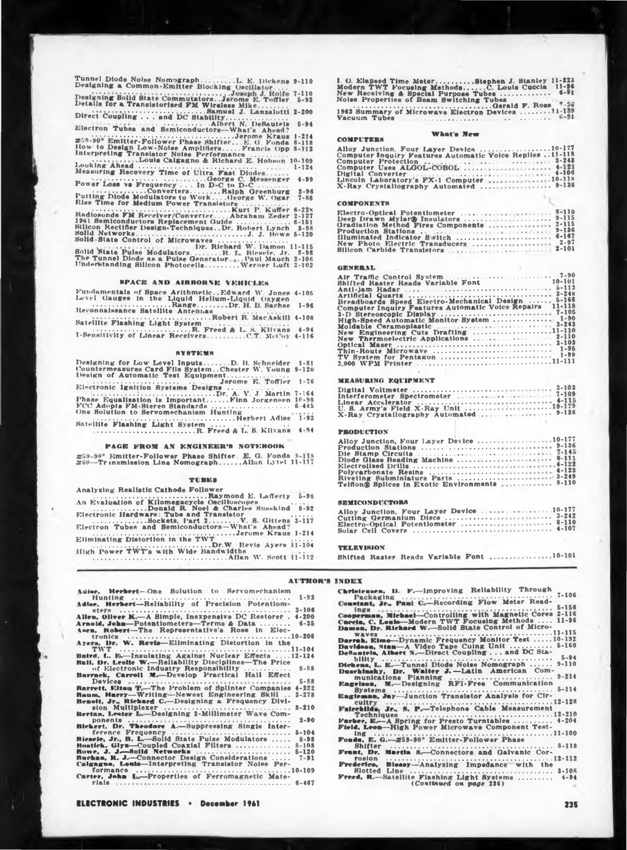**Tunnel Diode Noise Nomograph................L. E. Dickens Designing a Common-Emitter Blocking Oscillator.... Designing Solid State Commutators. .Jerome E. Toffler Details for a Transistorised FM Wireless Mike.............. . Samuel J. Lanxalotti Direct Coupling ... and DC Stability.............................. ...... Albert N. DeSautels Electron Tubes and Semiconductors—What's Ahead? ".. •'• •• •• • •,....... . ............................................Jerome Kraus #>9-»0 Emitter-Follower Phase Shifter.. . E. G. Fonda How to Design Low-Noise Amplifiers........Francis Opp Interpreting Transistor Noise Performance .................. 9-110 7-110 5-92 ï-200 5-94 1-214 8-118 8-112 Louis Calcagno & Richard É.Hobsôn 10-109 Looking Ahead................................................................ Measuring Recovery Time of Ultra Fast Diodes. 1-124 \_ .........................................................George C. Messenger Power Loss vs Frequency ... In D-C to D-C.............. " ........ Converters...............Ralph Greenburg Putting Diode Modulators to Work. . . .George W. Ogar Rise Time for Medium Power Transistors ...................... •.................................................................. Kurt P. Kuffer Radiosonde FM Recelver/Converter. . . Abraham Zeder 1961 Semiconductors Replacement Guide .......................... Silicon Rectifier Design-Techniques. .Dr. Robert Lynch Solid Networks...................................................... J. J. Howe Solid-State Control of Microwaves .................................. 4-99 3-96 7-86 6-228 2-127 6-151 3-98 5-120**

Dr. Richard W. Damon 11-115<br>Solid State Pulse Modulators.......R. L. Biewele, Jr. 8-98<br>The Tunnel Diode as a Pulse Generator.....Paul Mauch 2-106<br>Understanding Silicon Photocells..........Werner Luft 2-102 Riesele. Jr. . Paul Mauch Werner Luft **8-98 2-106 2-102**

#### **SPACE ANU AIRBORNE VEHICLES**

| Fundamentals of Space Arithmetic., Edward W. Jones 4-105       |  |
|----------------------------------------------------------------|--|
| Level Gauges in the Liquid Helium-Liquid Oxygen                |  |
| RangeDr. H. B. Sachae 1-96                                     |  |
| Reconnaissance Satellite Antennas<br>Robert B. MacAakill 4-108 |  |
| Satellite Flashing Light System Free Communication             |  |
| R. Freed & L. S. Kilvans 4-94                                  |  |
| I-Sensitivity of Linear ReceiversC.T. McCoy 4-116              |  |

### **SYMTEMM**

| Designing for Low Level InputsD. B. Schneider                                                                                                                                                                                  | $1 - 81$ |
|--------------------------------------------------------------------------------------------------------------------------------------------------------------------------------------------------------------------------------|----------|
| Countermeasures Card File SystemChester W. Young 9-120                                                                                                                                                                         |          |
| Design of Automatic Test Equipment                                                                                                                                                                                             |          |
|                                                                                                                                                                                                                                |          |
|                                                                                                                                                                                                                                |          |
| Dr. A. V. J. Martin 7-164                                                                                                                                                                                                      |          |
| Phase Equalization is ImportantFinn Jorgensen 10-98                                                                                                                                                                            |          |
| FCC Adopts FM-Stereo Standards  6-445                                                                                                                                                                                          |          |
| One Solution to Servomechanism Hunting                                                                                                                                                                                         |          |
| and the second construction of the second second second second second second second second second second second second second second second second second second second second second second second second second second secon |          |
|                                                                                                                                                                                                                                |          |
|                                                                                                                                                                                                                                |          |

## **PAGE FROM AN ENGINEER'<sup>S</sup> NOTEBOOK**

**' Emitter-Follower Phase Shifter E, G. Fonda ^60—Tr insmission Line Nomograph Allan Lytel 11-117**

#### **TURES**

Analyzing Realistic Cathode Follower<br>
An Evaluation of Kilomesacycle Oscilloscopes<br>
An Evaluation of Kilomesacycle Oscilloscopes<br>
Electronic Hardware: Tube and Translator<br>
Electronic Hardware: Tube and Translator<br>
Electron

**I. O. Elapsed Time Meter.................. Stephen J. Stanley 11-223 Modern TWT Focusing Methods.......... C. Louis Cuccia 11-96 New Receiving <sup>A</sup> Special Purpose Tubes........................ «-»1 Noise Properties of Beam Switching Tubes \_ .............................................................Gerald F. Roes ' 3« 1962 Summary of Microwave Electron Devices . a? Vacuum Tubes .......................................................................... •>\*"•**

## **What's New**

| <b>What's New</b><br><b>COMPUTERS</b>                                                                                                                                                                                          |  |  |  |  |  |  |  |  |
|--------------------------------------------------------------------------------------------------------------------------------------------------------------------------------------------------------------------------------|--|--|--|--|--|--|--|--|
| Alloy Junction. Four Layer Device 10-177<br>Computer Inquiry Features Automatic Voice Replies 11-118                                                                                                                           |  |  |  |  |  |  |  |  |
| Computer Protection  2-242                                                                                                                                                                                                     |  |  |  |  |  |  |  |  |
| Computer Uses ALGOL-COBOL  4-121                                                                                                                                                                                               |  |  |  |  |  |  |  |  |
| Digital Converter (1999) and the contract of the Converter of the Converter of the Converter of the Converter of the Converter of the Converter of the Converter of the Converter of the Converter of the Converter of the Con |  |  |  |  |  |  |  |  |
| Lincoln Laboratory's FX-1 Computer 10-118                                                                                                                                                                                      |  |  |  |  |  |  |  |  |
| X-Ray Crystallography Automated  9-136                                                                                                                                                                                         |  |  |  |  |  |  |  |  |

#### **COMPONENTS**

| Deep Drawn Mylar@ Insulators  9-115       |  |  |
|-------------------------------------------|--|--|
| Gradiation Method Fires Components  2-115 |  |  |
|                                           |  |  |
| Illuminated Indicator Switch  6-167       |  |  |
| New Photo Electric Transducers  2-97      |  |  |
|                                           |  |  |

#### **GENKRtL**

| $10 - 101$<br>Shifted Raster Reads Variable Font<br>the state of the state of the state of the |  |
|------------------------------------------------------------------------------------------------|--|
| $5 - 113$                                                                                      |  |
| $2 - 24K$                                                                                      |  |
| $5 - 166$<br>Breadboards Speed Electro-Mechanical Design                                       |  |
| 11-118<br>Computer Inquiry Features Automatic Voice Repairs                                    |  |
|                                                                                                |  |
|                                                                                                |  |
| Moldable Ceramoplastic 2-243                                                                   |  |
| New Engineering Cuts Drafting 11-110                                                           |  |
| $2 - 110$<br>$3 - 102$                                                                         |  |
|                                                                                                |  |
|                                                                                                |  |
|                                                                                                |  |
|                                                                                                |  |

## **MEASURING EQUIPMENT**

| X-Ray Crystallography Automated  9-126 |  |
|----------------------------------------|--|

#### **PRODUCTION**

| Alloy Junction, Four Layer Device 10-177       |  |  |  |  |  |  |  |  |  |  |  |  |  |
|------------------------------------------------|--|--|--|--|--|--|--|--|--|--|--|--|--|
|                                                |  |  |  |  |  |  |  |  |  |  |  |  |  |
|                                                |  |  |  |  |  |  |  |  |  |  |  |  |  |
| Diode Glass Beading Machine  8-111             |  |  |  |  |  |  |  |  |  |  |  |  |  |
|                                                |  |  |  |  |  |  |  |  |  |  |  |  |  |
|                                                |  |  |  |  |  |  |  |  |  |  |  |  |  |
|                                                |  |  |  |  |  |  |  |  |  |  |  |  |  |
| Telflon@ Splices in Exotic Environments  8-110 |  |  |  |  |  |  |  |  |  |  |  |  |  |

#### **SEMICONDUCTORS**

| Cutting Germanium Disca  3-242       |  |  |  |
|--------------------------------------|--|--|--|
| Electro-Optical Potentiometer  8-110 |  |  |  |
|                                      |  |  |  |

#### **TELEVISION**

| Shifted Raster Reads Variable Font 10-101 |  |  |  |  |  |  |  |
|-------------------------------------------|--|--|--|--|--|--|--|
|-------------------------------------------|--|--|--|--|--|--|--|

## **AUTHOR'S INDEX**

| Adise, Herbert-One Solution to Servomechanism<br>$1 - 92$                                                                                                                                                                     | Christensen, D.<br>Packasing. |
|-------------------------------------------------------------------------------------------------------------------------------------------------------------------------------------------------------------------------------|-------------------------------|
| Adise, Herbert---Reliability of Precision Potentiom-                                                                                                                                                                          | Constant, Jr., Pr             |
| $3 - 106$                                                                                                                                                                                                                     | $In(g)$                       |
| Allen, Oliver K.--A Simple, Inexpensive DC Restorer. 4-200                                                                                                                                                                    | Cooperman, Mich               |
| Arnold, John-Potentiometers-Terms & Data<br>$6 - 35$                                                                                                                                                                          | Cuccin, C. Louis-             |
|                                                                                                                                                                                                                               | Damon, Dr. Rich               |
| Amen, Robert-The Representative's Rose in Elec-                                                                                                                                                                               | WAVes                         |
|                                                                                                                                                                                                                               | Darrah, Eimo---D              |
| Ayers, Dr. W. Revis--Eliminating Distortion in the                                                                                                                                                                            | Davidson, Stan—               |
|                                                                                                                                                                                                                               |                               |
| Batrd, L. E.-Insulating Against Nuclear Effects 12-124                                                                                                                                                                        | DeSantela, Alber              |
| Ball, Dr. Leslie W.--Reliability Disciplines-The Price                                                                                                                                                                        | $b$ ility                     |
| of Electronic Industry Responsibility<br>$8 - 88$                                                                                                                                                                             | Dickens, L. E.-1              |
| Barrack, Carroll M.-Develop Practical Hall Effect                                                                                                                                                                             | Duschinsky, Dr.               |
| $5 - 88$                                                                                                                                                                                                                      | munications                   |
|                                                                                                                                                                                                                               | Eagelaon. M.-1                |
| Barrett, Elton T.-The Problem of Splinter Companies 4-222                                                                                                                                                                     | Systems                       |
| <b>Baum, Harry-Writing-Newest Engineering Skill</b> 3-278                                                                                                                                                                     | Eagleman, Jay-                |
| Benoit, Jr., Richard C.-Designing a Frequency Divi-                                                                                                                                                                           | $cutry \ldots$                |
| $8 - 210$<br>sion Multiplexer                                                                                                                                                                                                 | Fairchilds, Jr.,              |
| Bertan, Lester L.-Designing 2-Millimeter Wave Com-                                                                                                                                                                            | Techniques                    |
| $2 - 90$                                                                                                                                                                                                                      | Farber, E .- A Sp             |
| Blekert, Dr. Theodore A.-Suppressing Single Inter-                                                                                                                                                                            | Field, Leon-Kig               |
| $5 - 104$<br>ference Frequency                                                                                                                                                                                                | $\ln \epsilon$                |
| Biesele, Jr., R. L.-Solld State Pulse Modulators<br>$8 - 98$                                                                                                                                                                  | <b>Fonds, E. G.—21</b>        |
| Bostlek, Glyn-Coupled Coaxial Filters  8-108                                                                                                                                                                                  | $8$ hifter $\dots$            |
| Bowe, J. J.-Solid Networks<br>$5 - 120$                                                                                                                                                                                       |                               |
|                                                                                                                                                                                                                               | Frant, Dr. Mart               |
| Buchan, R. J.-Connector Design Considerations<br>$7 - 91$                                                                                                                                                                     | rosion<br>1.1.1.1             |
| Calgagne, Louis-Interpreting Transistor Noise Per-                                                                                                                                                                            | Frederico.<br><b>Blos</b>     |
| formance was conserved to the form of the contract of the contract of the form of the form of the following set of the set of the set of the set of the set of the set of the set of the set of the set of the set of the set | <b>Slotted Line</b>           |
| Carter, John L.-Properties of Ferromagnetic Mate-                                                                                                                                                                             | <b>Freed. R.</b> -Satell      |
|                                                                                                                                                                                                                               |                               |
|                                                                                                                                                                                                                               |                               |

chanism **Christensen, D. F.---Improving Reliability Through<br>
<b>Christensen.** D. Packaging Paul C.--Recording Flow Meter Read**eters ............................................................................ Coopennan, Michael—Controlling with Magnetic Cores Cncela, C. Louin—Modern TWT Focusing Methods .... Unmon, Ur. Richnrd W.—Solid State Control of Micro-waves ........................................................................... Darrah, Elmo—Dynamic Frequency Monitor Test........ Davidson, Stnn—<sup>A</sup> Video Tape Cuing Unit.................... DeNaatela. Albert N.—Direct Coupling . . . and DC Staponents ......................................................................... F.—Improving Reliability Through 5-156 2-116 11-96 11-115 10-192 5-160 bility .................................................... -............................. 5-94 9-110** Dietens, L. E.-Tunnel Diode Noise Nomograph<br>Duechinsky, Dr. Walter J.-Latin American Communications Planning<br>munications Planning<br>Engelsen, M.-Designing RFI-Free Communication **Eugleman, Jay**—Junction Transistor Analysis for Cir**cuitry ........................................................................... <sup>1</sup> -Telephone Cable Measurement 12-128 9-214 Techniques ........................................................................ Farber. E.—A Spring for Presto Turntables.................. Field, Leo«—High Power Microwave Component Test-ing ................................................................................** Fonds, E. G. - #59-90° Emitter-Follower Phase<br>Bhifter<br>Frant, Dr. Martin S. Connectors and Galvanic Cor**rosion ........................................................................... ' Frederteo, Blossy—Analysing Impedance with the Slotted Line ............................................................... 3-108 Freed, R.—Satellite Flashing Light Systems ................ (Continued** *on page* **236) 12-210 4-204 11-100 12-112 4-94**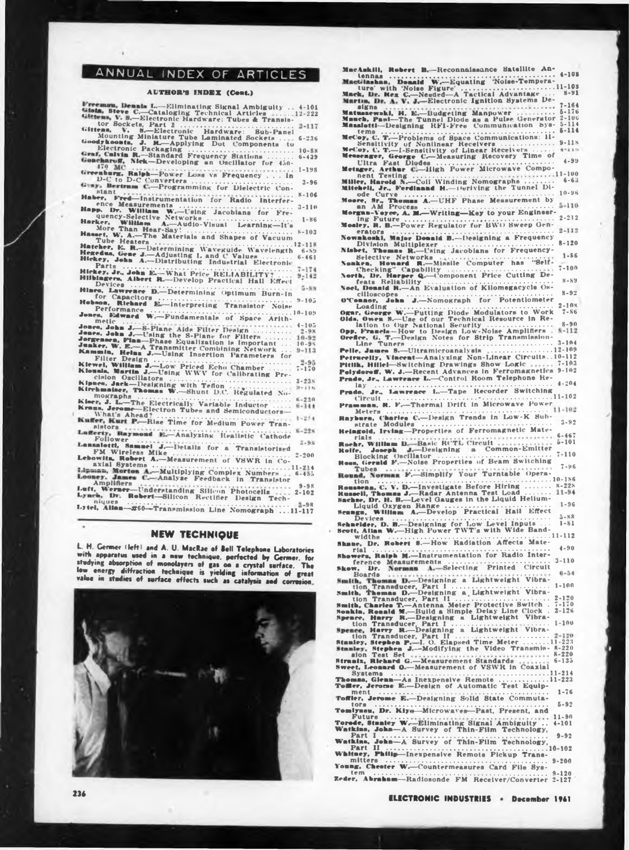## ANNUAL INDEX OF ARTICLES

## **AUTHOR'S INDEX (Cent.)**

| Freeman, Dennis L.-Eliminating Signal Ambiguity<br>$4 - 10$                                                                                                                                                                              |
|------------------------------------------------------------------------------------------------------------------------------------------------------------------------------------------------------------------------------------------|
| Gloin, Steve C.-Cataloging Technical Articles  12-22                                                                                                                                                                                     |
| Gissen», V. S.-Electronic Hardware: Tubes & Transis-                                                                                                                                                                                     |
|                                                                                                                                                                                                                                          |
| $3 - 11$                                                                                                                                                                                                                                 |
| Gittenn,                                                                                                                                                                                                                                 |
| $6 - 230$                                                                                                                                                                                                                                |
|                                                                                                                                                                                                                                          |
| Goodykoonts, J. R. Applying Dot Components to                                                                                                                                                                                            |
| Electronic Packaging<br>Graf, Calvin R.-Standard Frequency Stations<br>$10 - 81$                                                                                                                                                         |
| $6 - 435$                                                                                                                                                                                                                                |
| Geneharuff, Nick-Developing an Oscillator for 450-                                                                                                                                                                                       |
| 679 MC                                                                                                                                                                                                                                   |
| freenburg, Ralph-Power Loss vs Frequency  in<br>$1 - 199$                                                                                                                                                                                |
|                                                                                                                                                                                                                                          |
| D-C to D-C Converters<br>$3 - 96$                                                                                                                                                                                                        |
| Giny, Bertram C.-Programming for Dielectric                                                                                                                                                                                              |
| stant<br><b>*****************</b>                                                                                                                                                                                                        |
| $8 - 100$<br>Haber.                                                                                                                                                                                                                      |
| Fred-Instrumentation for Radio Interfer-                                                                                                                                                                                                 |
| $3 - 111$                                                                                                                                                                                                                                |
|                                                                                                                                                                                                                                          |
| $1 - 86$                                                                                                                                                                                                                                 |
| Happ. Dr. William W.-Ceing Jacobians for Fre-<br>quency-Selective Networks<br>Harker, William A.-Audio-Visual Learning--It's<br>More Than Hear-Say:<br>Haset, W. A.-The Materials and Shapes of Vacuum<br>The Materials and Shapes of Va |
|                                                                                                                                                                                                                                          |
| $8 - 103$                                                                                                                                                                                                                                |
|                                                                                                                                                                                                                                          |
| $2 - 118$                                                                                                                                                                                                                                |
| Hatcher, E. R.-Determining Waveguide Wavelength<br>Hegedus, Gene J.-Adjusting L and C Values<br>Hickey, John A.-Distributing Industrial Electronic                                                                                       |
| $6 - 59$                                                                                                                                                                                                                                 |
| $6 - 461$                                                                                                                                                                                                                                |
|                                                                                                                                                                                                                                          |
| Parts<br>Hickey, Jr., John E.-What Price RELIABILITY?<br>$7 - 174$                                                                                                                                                                       |
|                                                                                                                                                                                                                                          |
| $9 - 142$<br>Hilbingers, Albert R.-Develop Practical Hall Effect                                                                                                                                                                         |
| Devices<br>Hines, Lawrence D.--Determining Optimum Burn-In                                                                                                                                                                               |
| $5 - 8N$                                                                                                                                                                                                                                 |
|                                                                                                                                                                                                                                          |
| $9 - 105$                                                                                                                                                                                                                                |
|                                                                                                                                                                                                                                          |
| Hobson, Richard E. Interpreting Transistor Noise<br>Performance<br>Jones, Edward W. Fundamentals of Space Arith-                                                                                                                         |
| 10-109                                                                                                                                                                                                                                   |
| metle                                                                                                                                                                                                                                    |
| 1.1.1.1.1.0.0.0<br>$4 - 105$                                                                                                                                                                                                             |
| Jones, John J. S-Plane Alds Filter Design<br>$2 - 91$                                                                                                                                                                                    |
|                                                                                                                                                                                                                                          |
| 10-92                                                                                                                                                                                                                                    |
| Jones, John J.-Using the S-Plane for Filters<br>Jorgensen, Finn-Phase Equalization is Important<br>Junker, W. E.-A Transmitter Combining Network<br>$10 - 9x$                                                                            |
| $9 - 113$                                                                                                                                                                                                                                |
| Kammin, Heins J .- Using Insertion Parameters                                                                                                                                                                                            |
|                                                                                                                                                                                                                                          |
| $2 - 95$                                                                                                                                                                                                                                 |
| $7 - 170$                                                                                                                                                                                                                                |
|                                                                                                                                                                                                                                          |
| $3 - 23s$                                                                                                                                                                                                                                |
| $9 - 114$                                                                                                                                                                                                                                |
|                                                                                                                                                                                                                                          |
| mographs                                                                                                                                                                                                                                 |
| $6 - 230$<br>Kiner, J. L.-The Electrically Variable Inductor                                                                                                                                                                             |
| $5 - 144$                                                                                                                                                                                                                                |
| Kraus, Jerome-Electron Tubes and Semiconductors-                                                                                                                                                                                         |
| $1 - 234$                                                                                                                                                                                                                                |
|                                                                                                                                                                                                                                          |
| sistors<br>Lafferty, Raymond E.-Analyzing Realistic Cathode                                                                                                                                                                              |
| $6 - 22x$                                                                                                                                                                                                                                |
|                                                                                                                                                                                                                                          |
| $5 - 9.8$                                                                                                                                                                                                                                |
|                                                                                                                                                                                                                                          |
| Follower<br>Lanzaletti, Samuel J.-Details for a Translatorized                                                                                                                                                                           |
| $2 - 200$                                                                                                                                                                                                                                |
|                                                                                                                                                                                                                                          |
|                                                                                                                                                                                                                                          |
| Lipman, Morton A .- Multiplying Complex Numbers                                                                                                                                                                                          |
| $6 - 455$<br>Looney. James C.-Analyze Feedback in Translator                                                                                                                                                                             |
|                                                                                                                                                                                                                                          |
| Amplifiers<br>$9 - 98$                                                                                                                                                                                                                   |
|                                                                                                                                                                                                                                          |
|                                                                                                                                                                                                                                          |
| Luft, Werner-Understanding Silicon Photocells<br>$2 - 102$<br>$-19.7$                                                                                                                                                                    |
| Lynch, Dr. Robert-Silicon Rectifier Design Tech-                                                                                                                                                                                         |
| $2 - 9R$<br>.                                                                                                                                                                                                                            |
| Lytel, Allan-#60-Transmission Line Nomograph 11-117                                                                                                                                                                                      |

## **NEW TECHNIQUE**

L. H. Germer (left) and A. U. MacRae of Bell Telephone Laboratories with apparatus used in a new technique, perfected by Germer, for<br>studying absorption of monolayers of gas on a crystal surface. The<br>low energy diffraction technique is yielding information of great value in studies of surface effects such as catalysis and corrosion.



MacAnkill, Robert B.-Reconnaissance Satellite An-Macanum, Robert Branch<br>
Lennas<br>
Macanum, Donald W.-Equations<br>
Unre with 'Noise Fuergetter'<br>
Macanum Dr. A. V. J.-Electronic Ignition Systems De-<br>
Martin, Dr. A. V. J.-Electronic Ignition Systems De- $\ldots$  . 11-108  $8 - 91$  $1.1117 - 7 - 164$  $5 - 176$  $2 - 106$ Ultra Past Diodes<br>
Metaper, Arthur Power Microwave Compo-<br>
Metaper, Arthur Power Microwave Compo-<br>
Mitchell, Jr., Serdinand M.—Uriving the Tunnel Di-<br>
ode Curve<br>
Michell, Jr., Serdinand M.—Uriving the Tunnel Di-<br>
ode Curve  $-11 - 100$  $6 - 6.3$  $10 - 96$  $5 - 110$  $2 - 212$  $2 - 112$  $8 - 120$  $1 - 86$  $7 - 100$  $8 - 89$ Neel, Donald R.-An Evaluation of Kilomegacycle Oscilloscopes ....  $8 - 92$ -Nomograph for Potentiometer orc. File, James B.—Ultramicroanalysis<br>
Petrucelly, Vincent—Analysing Non-Linear Circuits...10-112<br>
Petrucelly, Vincent—Analysing Show Logic ....... 7-103<br>
Petrucelly, Wilching Drawlings Show Logic ....... 7-103<br>
Petrucelly, W. Prado, Jr., Lawrence L.-Control Room Telephone Re- $-4 - 2.04$ lay<br>do, Jr., Lawrence L.-Tape Recorder Switching Prado,  $11 - 102$ man, R. F.-Thermal Drift in Microwave Power Pramman, R. F.-Thermal Drais and How-K Sub-<br>Meters Charles C.-Design Trends in Low-K Sub-<br>Rayburn, Charles C.-Design Trends in Low-K Sub-<br>strate Modules Changeries of Ferromagnetic Mate- $11 - 102$  $3 - 92$ ................ 6-467 rials<br>
Rocker, William D.-Basic RCTL Circuit<br>
Rolfe, Joneph J.-Designing<br>
Rocking Occillator<br>
Head, German F.-Noise Properties of Beam Switching<br>
Tubes<br>
Round, Norman F.-Simplify Your Turntable Opera.  $5 - 101$  $7 - 110$  $7 - 96$ tion<br>
10-186<br>
10-186<br>
10-186<br>
10-186<br>
10-186<br>
10-186<br>
10-186<br>
10-186<br>
10-228<br>
10-186<br>
11-14<br>
11-14<br>
11-14<br>
11-14<br>
11-14<br>
11-14<br>
11-14<br>
11-14<br>
12-14<br>
12-14<br>
12-14<br>
12-14<br>
12-14<br>
12-14<br>
12-14<br>
12-14<br>
12-14<br>
12-14<br>
12-14<br>
12-K us **Nach** Seamen. William A.-Develop Armichaeler. D. B.-Designing for Low Level Inputs ....<br>Sehnelder, D. B.-Designing for Low Level Inputs ...<br>Sehnelder, D. B.-Designing for Low Level Inputs ...<br>widths .............................  $1 - 81$  $11 - 112$ Dr. Robert S.-How Radiation Affects Mate- $4 - 90$ rial rial<br>wers, Raiph M.--Instrumentation for Radio Inter-**Shot**  $3 - 110$ Skow Boards<br>
Boards<br>
Smith, Thomas D.—Designing a Lightweight Vibra-<br>
tion Transducer, Part II<br>
tion Transducer, Part II<br>
tion Transducer, Part II<br>
tion Transducer, Part II<br>
tion Transducer, Part II<br>
tion Transducer, Part II<br>
t rion Transducer, Part II....<br>
tion Transducer, Part II. (1991)<br>
The Samkin, Charles T.-Antenna Meter Protective Switch. 7-170<br>
Nonkin, Rosald M.-Build a Simple Delay Line Clock. 2-126<br>
Nonkin, Rosald M.-Build a Simple Dela  $\cdots$  11-214 Thom  $1 - 76$ Toffler, Jerome E.-Designing Solid State Commuta- $5 - 92$ tors Tomlynau, Dr. Kiya-Microwaves-Past, Present, and ruture<br> **Westkins, Johnson Survey of Thin-Film Technology, 4-101**<br>
Watkins, Johnson Survey of Thin-Film Technology, 6-00<br>
Wapart I. Watkins, John Part I. Survey of Thin-Film Technology, Part II. Part II. Part II. , Philip-Inexpensive Remote Pickup Trans-White  $9 - 200$ mitters Young, Chester W.-Countermeasures Card File 8ys $t \in \pi$ 

Zeder, Abraham--Radiosonde FM Receiver/Converter 2-127